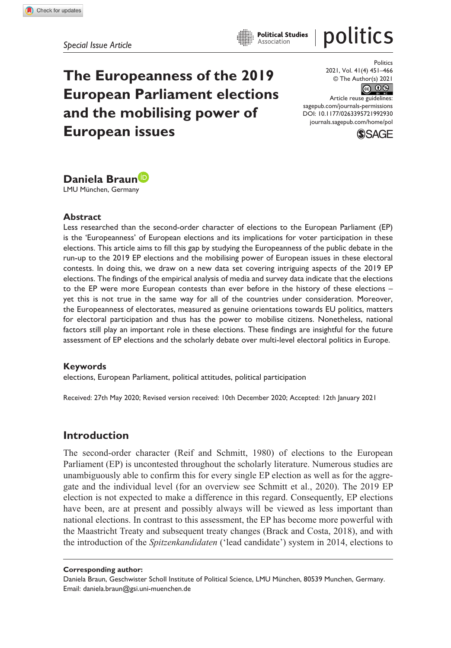**The Europeanness of the 2019 European Parliament elections and the mobilising power of European issues**

politics Politics

**Political Studies** Association

> 2021, Vol. 41(4) 451–466 © The Author(s) 2021

|ര 0⊛

DOI: 10.1177/0263395721992930 Article reuse guidelines: [sagepub.com/journals-permissions](https://uk.sagepub.com/en-gb/journals-permissions) [journals.sagepub.com/home/pol](https://journals.sagepub.com/home/pol)





LMU München, Germany

#### **Abstract**

Less researched than the second-order character of elections to the European Parliament (EP) is the 'Europeanness' of European elections and its implications for voter participation in these elections. This article aims to fill this gap by studying the Europeanness of the public debate in the run-up to the 2019 EP elections and the mobilising power of European issues in these electoral contests. In doing this, we draw on a new data set covering intriguing aspects of the 2019 EP elections. The findings of the empirical analysis of media and survey data indicate that the elections to the EP were more European contests than ever before in the history of these elections – yet this is not true in the same way for all of the countries under consideration. Moreover, the Europeanness of electorates, measured as genuine orientations towards EU politics, matters for electoral participation and thus has the power to mobilise citizens. Nonetheless, national factors still play an important role in these elections. These findings are insightful for the future assessment of EP elections and the scholarly debate over multi-level electoral politics in Europe.

#### **Keywords**

elections, European Parliament, political attitudes, political participation

Received: 27th May 2020; Revised version received: 10th December 2020; Accepted: 12th January 2021

#### **Introduction**

The second-order character (Reif and Schmitt, 1980) of elections to the European Parliament (EP) is uncontested throughout the scholarly literature. Numerous studies are unambiguously able to confirm this for every single EP election as well as for the aggregate and the individual level (for an overview see Schmitt et al., 2020). The 2019 EP election is not expected to make a difference in this regard. Consequently, EP elections have been, are at present and possibly always will be viewed as less important than national elections. In contrast to this assessment, the EP has become more powerful with the Maastricht Treaty and subsequent treaty changes (Brack and Costa, 2018), and with the introduction of the *Spitzenkandidaten* ('lead candidate') system in 2014, elections to

**Corresponding author:**

Daniela Braun, Geschwister Scholl Institute of Political Science, LMU München, 80539 Munchen, Germany. Email: [daniela.braun@gsi.uni-muenchen.de](mailto:daniela.braun@gsi.uni-muenchen.de)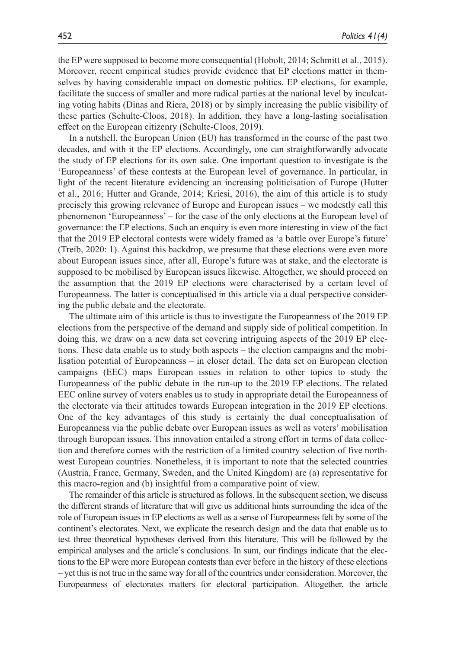the EP were supposed to become more consequential (Hobolt, 2014; Schmitt et al., 2015). Moreover, recent empirical studies provide evidence that EP elections matter in themselves by having considerable impact on domestic politics. EP elections, for example, facilitate the success of smaller and more radical parties at the national level by inculcating voting habits (Dinas and Riera, 2018) or by simply increasing the public visibility of these parties (Schulte-Cloos, 2018). In addition, they have a long-lasting socialisation effect on the European citizenry (Schulte-Cloos, 2019).

In a nutshell, the European Union (EU) has transformed in the course of the past two decades, and with it the EP elections. Accordingly, one can straightforwardly advocate the study of EP elections for its own sake. One important question to investigate is the 'Europeanness' of these contests at the European level of governance. In particular, in light of the recent literature evidencing an increasing politicisation of Europe (Hutter et al., 2016; Hutter and Grande, 2014; Kriesi, 2016), the aim of this article is to study precisely this growing relevance of Europe and European issues – we modestly call this phenomenon 'Europeanness' – for the case of the only elections at the European level of governance: the EP elections. Such an enquiry is even more interesting in view of the fact that the 2019 EP electoral contests were widely framed as 'a battle over Europe's future' (Treib, 2020: 1). Against this backdrop, we presume that these elections were even more about European issues since, after all, Europe's future was at stake, and the electorate is supposed to be mobilised by European issues likewise. Altogether, we should proceed on the assumption that the 2019 EP elections were characterised by a certain level of Europeanness. The latter is conceptualised in this article via a dual perspective considering the public debate and the electorate.

The ultimate aim of this article is thus to investigate the Europeanness of the 2019 EP elections from the perspective of the demand and supply side of political competition. In doing this, we draw on a new data set covering intriguing aspects of the 2019 EP elections. These data enable us to study both aspects – the election campaigns and the mobilisation potential of Europeanness – in closer detail. The data set on European election campaigns (EEC) maps European issues in relation to other topics to study the Europeanness of the public debate in the run-up to the 2019 EP elections. The related EEC online survey of voters enables us to study in appropriate detail the Europeanness of the electorate via their attitudes towards European integration in the 2019 EP elections. One of the key advantages of this study is certainly the dual conceptualisation of Europeanness via the public debate over European issues as well as voters' mobilisation through European issues. This innovation entailed a strong effort in terms of data collection and therefore comes with the restriction of a limited country selection of five northwest European countries. Nonetheless, it is important to note that the selected countries (Austria, France, Germany, Sweden, and the United Kingdom) are (a) representative for this macro-region and (b) insightful from a comparative point of view.

The remainder of this article is structured as follows. In the subsequent section, we discuss the different strands of literature that will give us additional hints surrounding the idea of the role of European issues in EP elections as well as a sense of Europeanness felt by some of the continent's electorates. Next, we explicate the research design and the data that enable us to test three theoretical hypotheses derived from this literature. This will be followed by the empirical analyses and the article's conclusions. In sum, our findings indicate that the elections to the EP were more European contests than ever before in the history of these elections – yet this is not true in the same way for all of the countries under consideration. Moreover, the Europeanness of electorates matters for electoral participation. Altogether, the article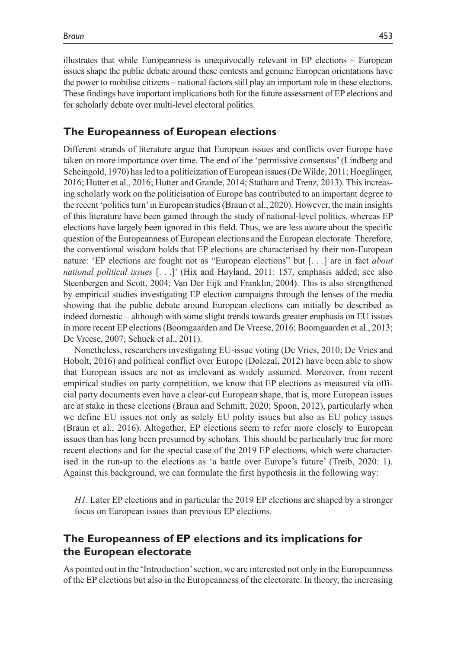illustrates that while Europeanness is unequivocally relevant in EP elections – European issues shape the public debate around these contests and genuine European orientations have the power to mobilise citizens – national factors still play an important role in these elections. These findings have important implications both for the future assessment of EP elections and for scholarly debate over multi-level electoral politics.

#### **The Europeanness of European elections**

Different strands of literature argue that European issues and conflicts over Europe have taken on more importance over time. The end of the 'permissive consensus' (Lindberg and Scheingold, 1970) has led to a politicization of European issues (De Wilde, 2011; Hoeglinger, 2016; Hutter et al., 2016; Hutter and Grande, 2014; Statham and Trenz, 2013). This increasing scholarly work on the politicisation of Europe has contributed to an important degree to the recent 'politics turn' in European studies (Braun et al., 2020). However, the main insights of this literature have been gained through the study of national-level politics, whereas EP elections have largely been ignored in this field. Thus, we are less aware about the specific question of the Europeanness of European elections and the European electorate. Therefore, the conventional wisdom holds that EP elections are characterised by their non-European nature: 'EP elections are fought not as "European elections" but [. . .] are in fact *about national political issues* [. . .]' (Hix and Høyland, 2011: 157, emphasis added; see also Steenbergen and Scott, 2004; Van Der Eijk and Franklin, 2004). This is also strengthened by empirical studies investigating EP election campaigns through the lenses of the media showing that the public debate around European elections can initially be described as indeed domestic – although with some slight trends towards greater emphasis on EU issues in more recent EP elections (Boomgaarden and De Vreese, 2016; Boomgaarden et al., 2013; De Vreese, 2007; Schuck et al., 2011).

Nonetheless, researchers investigating EU-issue voting (De Vries, 2010; De Vries and Hobolt, 2016) and political conflict over Europe (Dolezal, 2012) have been able to show that European issues are not as irrelevant as widely assumed. Moreover, from recent empirical studies on party competition, we know that EP elections as measured via official party documents even have a clear-cut European shape, that is, more European issues are at stake in these elections (Braun and Schmitt, 2020; Spoon, 2012), particularly when we define EU issues not only as solely EU polity issues but also as EU policy issues (Braun et al., 2016). Altogether, EP elections seem to refer more closely to European issues than has long been presumed by scholars. This should be particularly true for more recent elections and for the special case of the 2019 EP elections, which were characterised in the run-up to the elections as 'a battle over Europe's future' (Treib, 2020: 1). Against this background, we can formulate the first hypothesis in the following way:

*H1*. Later EP elections and in particular the 2019 EP elections are shaped by a stronger focus on European issues than previous EP elections.

# **The Europeanness of EP elections and its implications for the European electorate**

As pointed out in the 'Introduction' section, we are interested not only in the Europeanness of the EP elections but also in the Europeanness of the electorate. In theory, the increasing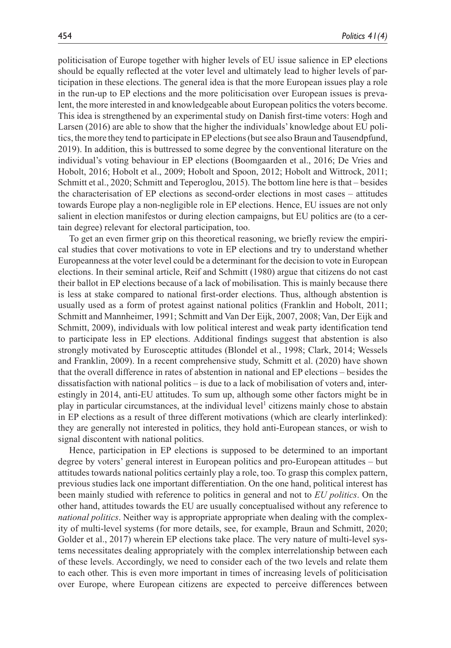politicisation of Europe together with higher levels of EU issue salience in EP elections should be equally reflected at the voter level and ultimately lead to higher levels of participation in these elections. The general idea is that the more European issues play a role in the run-up to EP elections and the more politicisation over European issues is prevalent, the more interested in and knowledgeable about European politics the voters become. This idea is strengthened by an experimental study on Danish first-time voters: Hogh and Larsen (2016) are able to show that the higher the individuals' knowledge about EU politics, the more they tend to participate in EP elections (but see also Braun and Tausendpfund, 2019). In addition, this is buttressed to some degree by the conventional literature on the individual's voting behaviour in EP elections (Boomgaarden et al., 2016; De Vries and Hobolt, 2016; Hobolt et al., 2009; Hobolt and Spoon, 2012; Hobolt and Wittrock, 2011; Schmitt et al., 2020; Schmitt and Teperoglou, 2015). The bottom line here is that – besides the characterisation of EP elections as second-order elections in most cases – attitudes towards Europe play a non-negligible role in EP elections. Hence, EU issues are not only salient in election manifestos or during election campaigns, but EU politics are (to a certain degree) relevant for electoral participation, too.

To get an even firmer grip on this theoretical reasoning, we briefly review the empirical studies that cover motivations to vote in EP elections and try to understand whether Europeanness at the voter level could be a determinant for the decision to vote in European elections. In their seminal article, Reif and Schmitt (1980) argue that citizens do not cast their ballot in EP elections because of a lack of mobilisation. This is mainly because there is less at stake compared to national first-order elections. Thus, although abstention is usually used as a form of protest against national politics (Franklin and Hobolt, 2011; Schmitt and Mannheimer, 1991; Schmitt and Van Der Eijk, 2007, 2008; Van, Der Eijk and Schmitt, 2009), individuals with low political interest and weak party identification tend to participate less in EP elections. Additional findings suggest that abstention is also strongly motivated by Eurosceptic attitudes (Blondel et al., 1998; Clark, 2014; Wessels and Franklin, 2009). In a recent comprehensive study, Schmitt et al. (2020) have shown that the overall difference in rates of abstention in national and EP elections – besides the dissatisfaction with national politics – is due to a lack of mobilisation of voters and, interestingly in 2014, anti-EU attitudes. To sum up, although some other factors might be in play in particular circumstances, at the individual level<sup>1</sup> citizens mainly chose to abstain in EP elections as a result of three different motivations (which are clearly interlinked): they are generally not interested in politics, they hold anti-European stances, or wish to signal discontent with national politics.

Hence, participation in EP elections is supposed to be determined to an important degree by voters' general interest in European politics and pro-European attitudes – but attitudes towards national politics certainly play a role, too. To grasp this complex pattern, previous studies lack one important differentiation. On the one hand, political interest has been mainly studied with reference to politics in general and not to *EU politics*. On the other hand, attitudes towards the EU are usually conceptualised without any reference to *national politics*. Neither way is appropriate appropriate when dealing with the complexity of multi-level systems (for more details, see, for example, Braun and Schmitt, 2020; Golder et al., 2017) wherein EP elections take place. The very nature of multi-level systems necessitates dealing appropriately with the complex interrelationship between each of these levels. Accordingly, we need to consider each of the two levels and relate them to each other. This is even more important in times of increasing levels of politicisation over Europe, where European citizens are expected to perceive differences between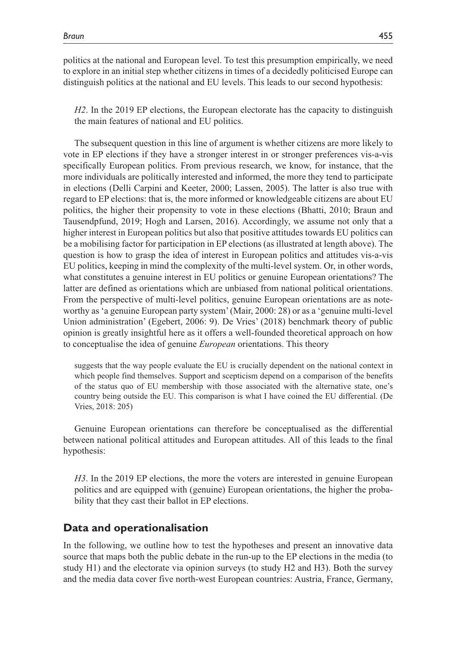politics at the national and European level. To test this presumption empirically, we need to explore in an initial step whether citizens in times of a decidedly politicised Europe can distinguish politics at the national and EU levels. This leads to our second hypothesis:

*H2*. In the 2019 EP elections, the European electorate has the capacity to distinguish the main features of national and EU politics.

The subsequent question in this line of argument is whether citizens are more likely to vote in EP elections if they have a stronger interest in or stronger preferences vis-a-vis specifically European politics. From previous research, we know, for instance, that the more individuals are politically interested and informed, the more they tend to participate in elections (Delli Carpini and Keeter, 2000; Lassen, 2005). The latter is also true with regard to EP elections: that is, the more informed or knowledgeable citizens are about EU politics, the higher their propensity to vote in these elections (Bhatti, 2010; Braun and Tausendpfund, 2019; Hogh and Larsen, 2016). Accordingly, we assume not only that a higher interest in European politics but also that positive attitudes towards EU politics can be a mobilising factor for participation in EP elections (as illustrated at length above). The question is how to grasp the idea of interest in European politics and attitudes vis-a-vis EU politics, keeping in mind the complexity of the multi-level system. Or, in other words, what constitutes a genuine interest in EU politics or genuine European orientations? The latter are defined as orientations which are unbiased from national political orientations. From the perspective of multi-level politics, genuine European orientations are as noteworthy as 'a genuine European party system' (Mair, 2000: 28) or as a 'genuine multi-level Union administration' (Egebert, 2006: 9). De Vries' (2018) benchmark theory of public opinion is greatly insightful here as it offers a well-founded theoretical approach on how to conceptualise the idea of genuine *European* orientations. This theory

suggests that the way people evaluate the EU is crucially dependent on the national context in which people find themselves. Support and scepticism depend on a comparison of the benefits of the status quo of EU membership with those associated with the alternative state, one's country being outside the EU. This comparison is what I have coined the EU differential. (De Vries, 2018: 205)

Genuine European orientations can therefore be conceptualised as the differential between national political attitudes and European attitudes. All of this leads to the final hypothesis:

*H3*. In the 2019 EP elections, the more the voters are interested in genuine European politics and are equipped with (genuine) European orientations, the higher the probability that they cast their ballot in EP elections.

## **Data and operationalisation**

In the following, we outline how to test the hypotheses and present an innovative data source that maps both the public debate in the run-up to the EP elections in the media (to study H1) and the electorate via opinion surveys (to study H2 and H3). Both the survey and the media data cover five north-west European countries: Austria, France, Germany,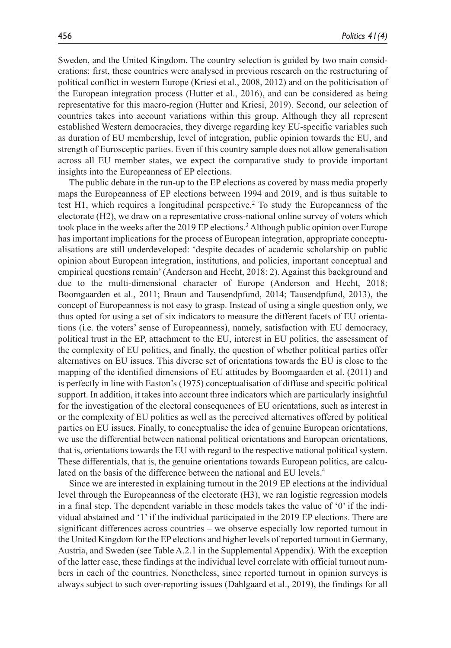Sweden, and the United Kingdom. The country selection is guided by two main considerations: first, these countries were analysed in previous research on the restructuring of political conflict in western Europe (Kriesi et al., 2008, 2012) and on the politicisation of the European integration process (Hutter et al., 2016), and can be considered as being representative for this macro-region (Hutter and Kriesi, 2019). Second, our selection of countries takes into account variations within this group. Although they all represent established Western democracies, they diverge regarding key EU-specific variables such as duration of EU membership, level of integration, public opinion towards the EU, and strength of Eurosceptic parties. Even if this country sample does not allow generalisation across all EU member states, we expect the comparative study to provide important insights into the Europeanness of EP elections.

The public debate in the run-up to the EP elections as covered by mass media properly maps the Europeanness of EP elections between 1994 and 2019, and is thus suitable to test H1, which requires a longitudinal perspective.<sup>2</sup> To study the Europeanness of the electorate (H2), we draw on a representative cross-national online survey of voters which took place in the weeks after the 2019 EP elections.3 Although public opinion over Europe has important implications for the process of European integration, appropriate conceptualisations are still underdeveloped: 'despite decades of academic scholarship on public opinion about European integration, institutions, and policies, important conceptual and empirical questions remain' (Anderson and Hecht, 2018: 2). Against this background and due to the multi-dimensional character of Europe (Anderson and Hecht, 2018; Boomgaarden et al., 2011; Braun and Tausendpfund, 2014; Tausendpfund, 2013), the concept of Europeanness is not easy to grasp. Instead of using a single question only, we thus opted for using a set of six indicators to measure the different facets of EU orientations (i.e. the voters' sense of Europeanness), namely, satisfaction with EU democracy, political trust in the EP, attachment to the EU, interest in EU politics, the assessment of the complexity of EU politics, and finally, the question of whether political parties offer alternatives on EU issues. This diverse set of orientations towards the EU is close to the mapping of the identified dimensions of EU attitudes by Boomgaarden et al. (2011) and is perfectly in line with Easton's (1975) conceptualisation of diffuse and specific political support. In addition, it takes into account three indicators which are particularly insightful for the investigation of the electoral consequences of EU orientations, such as interest in or the complexity of EU politics as well as the perceived alternatives offered by political parties on EU issues. Finally, to conceptualise the idea of genuine European orientations, we use the differential between national political orientations and European orientations, that is, orientations towards the EU with regard to the respective national political system. These differentials, that is, the genuine orientations towards European politics, are calculated on the basis of the difference between the national and EU levels.<sup>4</sup>

Since we are interested in explaining turnout in the 2019 EP elections at the individual level through the Europeanness of the electorate (H3), we ran logistic regression models in a final step. The dependent variable in these models takes the value of '0' if the individual abstained and '1' if the individual participated in the 2019 EP elections. There are significant differences across countries – we observe especially low reported turnout in the United Kingdom for the EP elections and higher levels of reported turnout in Germany, Austria, and Sweden (see Table A.2.1 in the Supplemental Appendix). With the exception of the latter case, these findings at the individual level correlate with official turnout numbers in each of the countries. Nonetheless, since reported turnout in opinion surveys is always subject to such over-reporting issues (Dahlgaard et al., 2019), the findings for all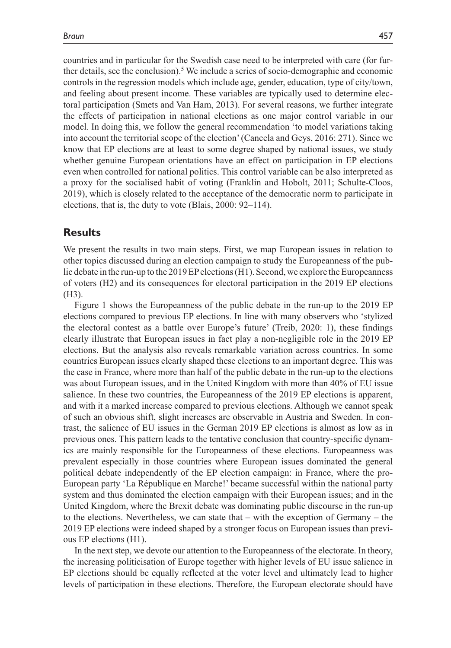countries and in particular for the Swedish case need to be interpreted with care (for further details, see the conclusion).<sup>5</sup> We include a series of socio-demographic and economic controls in the regression models which include age, gender, education, type of city/town, and feeling about present income. These variables are typically used to determine electoral participation (Smets and Van Ham, 2013). For several reasons, we further integrate the effects of participation in national elections as one major control variable in our model. In doing this, we follow the general recommendation 'to model variations taking into account the territorial scope of the election' (Cancela and Geys, 2016: 271). Since we know that EP elections are at least to some degree shaped by national issues, we study whether genuine European orientations have an effect on participation in EP elections even when controlled for national politics. This control variable can be also interpreted as a proxy for the socialised habit of voting (Franklin and Hobolt, 2011; Schulte-Cloos, 2019), which is closely related to the acceptance of the democratic norm to participate in elections, that is, the duty to vote (Blais, 2000: 92–114).

#### **Results**

We present the results in two main steps. First, we map European issues in relation to other topics discussed during an election campaign to study the Europeanness of the public debate in the run-up to the 2019 EP elections (H1). Second, we explore the Europeanness of voters (H2) and its consequences for electoral participation in the 2019 EP elections (H3).

Figure 1 shows the Europeanness of the public debate in the run-up to the 2019 EP elections compared to previous EP elections. In line with many observers who 'stylized the electoral contest as a battle over Europe's future' (Treib, 2020: 1), these findings clearly illustrate that European issues in fact play a non-negligible role in the 2019 EP elections. But the analysis also reveals remarkable variation across countries. In some countries European issues clearly shaped these elections to an important degree. This was the case in France, where more than half of the public debate in the run-up to the elections was about European issues, and in the United Kingdom with more than 40% of EU issue salience. In these two countries, the Europeanness of the 2019 EP elections is apparent, and with it a marked increase compared to previous elections. Although we cannot speak of such an obvious shift, slight increases are observable in Austria and Sweden. In contrast, the salience of EU issues in the German 2019 EP elections is almost as low as in previous ones. This pattern leads to the tentative conclusion that country-specific dynamics are mainly responsible for the Europeanness of these elections. Europeanness was prevalent especially in those countries where European issues dominated the general political debate independently of the EP election campaign: in France, where the pro-European party 'La République en Marche!' became successful within the national party system and thus dominated the election campaign with their European issues; and in the United Kingdom, where the Brexit debate was dominating public discourse in the run-up to the elections. Nevertheless, we can state that – with the exception of Germany – the 2019 EP elections were indeed shaped by a stronger focus on European issues than previous EP elections (H1).

In the next step, we devote our attention to the Europeanness of the electorate. In theory, the increasing politicisation of Europe together with higher levels of EU issue salience in EP elections should be equally reflected at the voter level and ultimately lead to higher levels of participation in these elections. Therefore, the European electorate should have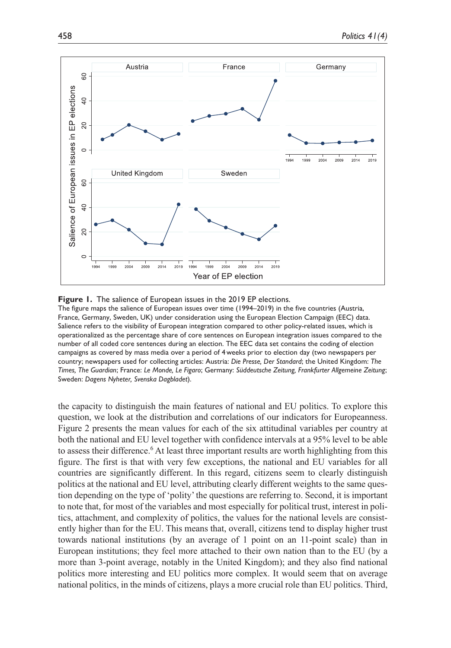

#### **Figure 1.** The salience of European issues in the 2019 EP elections.

The figure maps the salience of European issues over time (1994–2019) in the five countries (Austria, France, Germany, Sweden, UK) under consideration using the European Election Campaign (EEC) data. Salience refers to the visibility of European integration compared to other policy-related issues, which is operationalized as the percentage share of core sentences on European integration issues compared to the number of all coded core sentences during an election. The EEC data set contains the coding of election campaigns as covered by mass media over a period of 4weeks prior to election day (two newspapers per country; newspapers used for collecting articles: Austria: *Die Presse, Der Standard*; the United Kingdom: *The Times, The Guardian*; France: *Le Monde, Le Figaro*; Germany: *Süddeutsche Zeitung, Frankfurter Allgemeine Zeitung*; Sweden: *Dagens Nyheter, Svenska Dagbladet*).

the capacity to distinguish the main features of national and EU politics. To explore this question, we look at the distribution and correlations of our indicators for Europeanness. Figure 2 presents the mean values for each of the six attitudinal variables per country at both the national and EU level together with confidence intervals at a 95% level to be able to assess their difference.<sup>6</sup> At least three important results are worth highlighting from this figure. The first is that with very few exceptions, the national and EU variables for all countries are significantly different. In this regard, citizens seem to clearly distinguish politics at the national and EU level, attributing clearly different weights to the same question depending on the type of 'polity' the questions are referring to. Second, it is important to note that, for most of the variables and most especially for political trust, interest in politics, attachment, and complexity of politics, the values for the national levels are consistently higher than for the EU. This means that, overall, citizens tend to display higher trust towards national institutions (by an average of 1 point on an 11-point scale) than in European institutions; they feel more attached to their own nation than to the EU (by a more than 3-point average, notably in the United Kingdom); and they also find national politics more interesting and EU politics more complex. It would seem that on average national politics, in the minds of citizens, plays a more crucial role than EU politics. Third,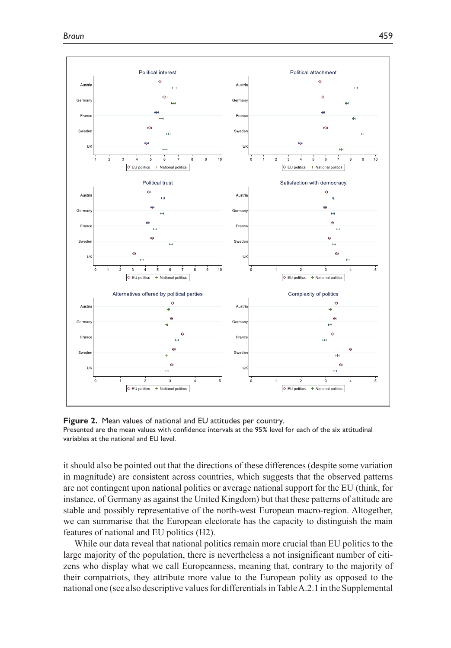

**Figure 2.** Mean values of national and EU attitudes per country. Presented are the mean values with confidence intervals at the 95% level for each of the six attitudinal variables at the national and EU level.

it should also be pointed out that the directions of these differences (despite some variation in magnitude) are consistent across countries, which suggests that the observed patterns are not contingent upon national politics or average national support for the EU (think, for instance, of Germany as against the United Kingdom) but that these patterns of attitude are stable and possibly representative of the north-west European macro-region. Altogether, we can summarise that the European electorate has the capacity to distinguish the main features of national and EU politics (H2).

While our data reveal that national politics remain more crucial than EU politics to the large majority of the population, there is nevertheless a not insignificant number of citizens who display what we call Europeanness, meaning that, contrary to the majority of their compatriots, they attribute more value to the European polity as opposed to the national one (see also descriptive values for differentials in Table A.2.1 in the Supplemental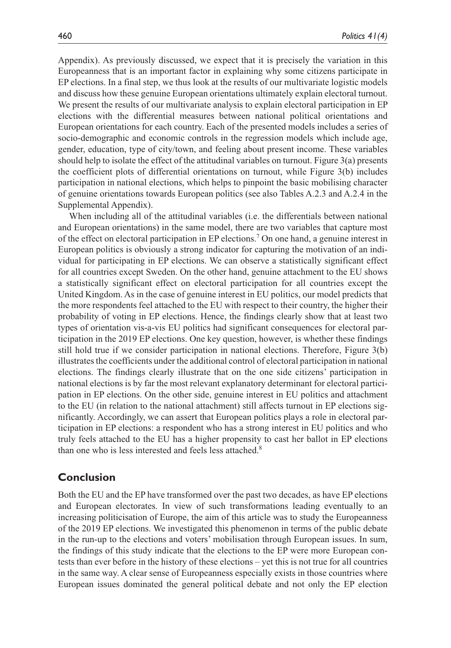Appendix). As previously discussed, we expect that it is precisely the variation in this Europeanness that is an important factor in explaining why some citizens participate in EP elections. In a final step, we thus look at the results of our multivariate logistic models and discuss how these genuine European orientations ultimately explain electoral turnout. We present the results of our multivariate analysis to explain electoral participation in EP elections with the differential measures between national political orientations and European orientations for each country. Each of the presented models includes a series of socio-demographic and economic controls in the regression models which include age, gender, education, type of city/town, and feeling about present income. These variables should help to isolate the effect of the attitudinal variables on turnout. Figure 3(a) presents the coefficient plots of differential orientations on turnout, while Figure 3(b) includes participation in national elections, which helps to pinpoint the basic mobilising character of genuine orientations towards European politics (see also Tables A.2.3 and A.2.4 in the Supplemental Appendix).

When including all of the attitudinal variables (i.e. the differentials between national and European orientations) in the same model, there are two variables that capture most of the effect on electoral participation in EP elections.7 On one hand, a genuine interest in European politics is obviously a strong indicator for capturing the motivation of an individual for participating in EP elections. We can observe a statistically significant effect for all countries except Sweden. On the other hand, genuine attachment to the EU shows a statistically significant effect on electoral participation for all countries except the United Kingdom. As in the case of genuine interest in EU politics, our model predicts that the more respondents feel attached to the EU with respect to their country, the higher their probability of voting in EP elections. Hence, the findings clearly show that at least two types of orientation vis-a-vis EU politics had significant consequences for electoral participation in the 2019 EP elections. One key question, however, is whether these findings still hold true if we consider participation in national elections. Therefore, Figure 3(b) illustrates the coefficients under the additional control of electoral participation in national elections. The findings clearly illustrate that on the one side citizens' participation in national elections is by far the most relevant explanatory determinant for electoral participation in EP elections. On the other side, genuine interest in EU politics and attachment to the EU (in relation to the national attachment) still affects turnout in EP elections significantly. Accordingly, we can assert that European politics plays a role in electoral participation in EP elections: a respondent who has a strong interest in EU politics and who truly feels attached to the EU has a higher propensity to cast her ballot in EP elections than one who is less interested and feels less attached.<sup>8</sup>

#### **Conclusion**

Both the EU and the EP have transformed over the past two decades, as have EP elections and European electorates. In view of such transformations leading eventually to an increasing politicisation of Europe, the aim of this article was to study the Europeanness of the 2019 EP elections. We investigated this phenomenon in terms of the public debate in the run-up to the elections and voters' mobilisation through European issues. In sum, the findings of this study indicate that the elections to the EP were more European contests than ever before in the history of these elections – yet this is not true for all countries in the same way. A clear sense of Europeanness especially exists in those countries where European issues dominated the general political debate and not only the EP election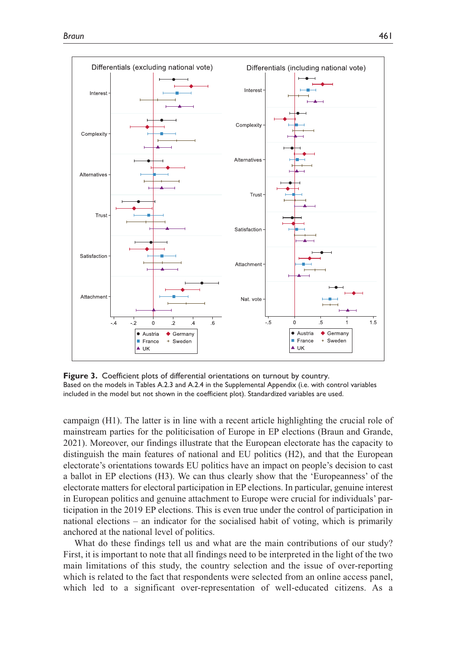

**Figure 3.** Coefficient plots of differential orientations on turnout by country. Based on the models in Tables A.2.3 and A.2.4 in the Supplemental Appendix (i.e. with control variables included in the model but not shown in the coefficient plot). Standardized variables are used.

campaign (H1). The latter is in line with a recent article highlighting the crucial role of mainstream parties for the politicisation of Europe in EP elections (Braun and Grande, 2021). Moreover, our findings illustrate that the European electorate has the capacity to distinguish the main features of national and EU politics (H2), and that the European electorate's orientations towards EU politics have an impact on people's decision to cast a ballot in EP elections (H3). We can thus clearly show that the 'Europeanness' of the electorate matters for electoral participation in EP elections. In particular, genuine interest in European politics and genuine attachment to Europe were crucial for individuals' participation in the 2019 EP elections. This is even true under the control of participation in national elections – an indicator for the socialised habit of voting, which is primarily anchored at the national level of politics.

What do these findings tell us and what are the main contributions of our study? First, it is important to note that all findings need to be interpreted in the light of the two main limitations of this study, the country selection and the issue of over-reporting which is related to the fact that respondents were selected from an online access panel, which led to a significant over-representation of well-educated citizens. As a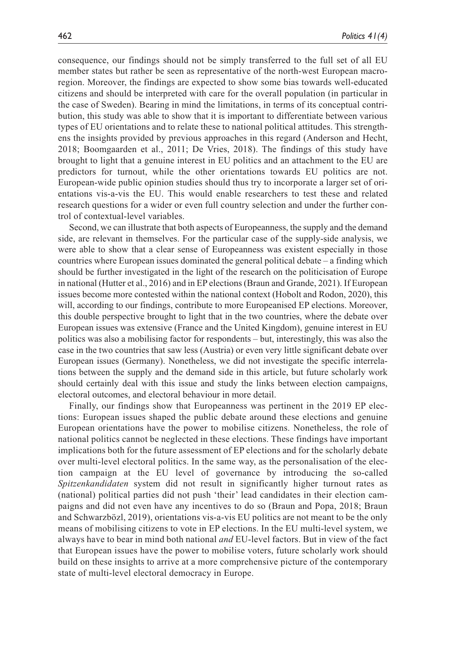consequence, our findings should not be simply transferred to the full set of all EU member states but rather be seen as representative of the north-west European macroregion. Moreover, the findings are expected to show some bias towards well-educated citizens and should be interpreted with care for the overall population (in particular in the case of Sweden). Bearing in mind the limitations, in terms of its conceptual contribution, this study was able to show that it is important to differentiate between various types of EU orientations and to relate these to national political attitudes. This strengthens the insights provided by previous approaches in this regard (Anderson and Hecht, 2018; Boomgaarden et al., 2011; De Vries, 2018). The findings of this study have brought to light that a genuine interest in EU politics and an attachment to the EU are predictors for turnout, while the other orientations towards EU politics are not. European-wide public opinion studies should thus try to incorporate a larger set of orientations vis-a-vis the EU. This would enable researchers to test these and related research questions for a wider or even full country selection and under the further control of contextual-level variables.

Second, we can illustrate that both aspects of Europeanness, the supply and the demand side, are relevant in themselves. For the particular case of the supply-side analysis, we were able to show that a clear sense of Europeanness was existent especially in those countries where European issues dominated the general political debate – a finding which should be further investigated in the light of the research on the politicisation of Europe in national (Hutter et al., 2016) and in EP elections (Braun and Grande, 2021). If European issues become more contested within the national context (Hobolt and Rodon, 2020), this will, according to our findings, contribute to more Europeanised EP elections. Moreover, this double perspective brought to light that in the two countries, where the debate over European issues was extensive (France and the United Kingdom), genuine interest in EU politics was also a mobilising factor for respondents – but, interestingly, this was also the case in the two countries that saw less (Austria) or even very little significant debate over European issues (Germany). Nonetheless, we did not investigate the specific interrelations between the supply and the demand side in this article, but future scholarly work should certainly deal with this issue and study the links between election campaigns, electoral outcomes, and electoral behaviour in more detail.

Finally, our findings show that Europeanness was pertinent in the 2019 EP elections: European issues shaped the public debate around these elections and genuine European orientations have the power to mobilise citizens. Nonetheless, the role of national politics cannot be neglected in these elections. These findings have important implications both for the future assessment of EP elections and for the scholarly debate over multi-level electoral politics. In the same way, as the personalisation of the election campaign at the EU level of governance by introducing the so-called *Spitzenkandidaten* system did not result in significantly higher turnout rates as (national) political parties did not push 'their' lead candidates in their election campaigns and did not even have any incentives to do so (Braun and Popa, 2018; Braun and Schwarzbözl, 2019), orientations vis-a-vis EU politics are not meant to be the only means of mobilising citizens to vote in EP elections. In the EU multi-level system, we always have to bear in mind both national *and* EU-level factors. But in view of the fact that European issues have the power to mobilise voters, future scholarly work should build on these insights to arrive at a more comprehensive picture of the contemporary state of multi-level electoral democracy in Europe.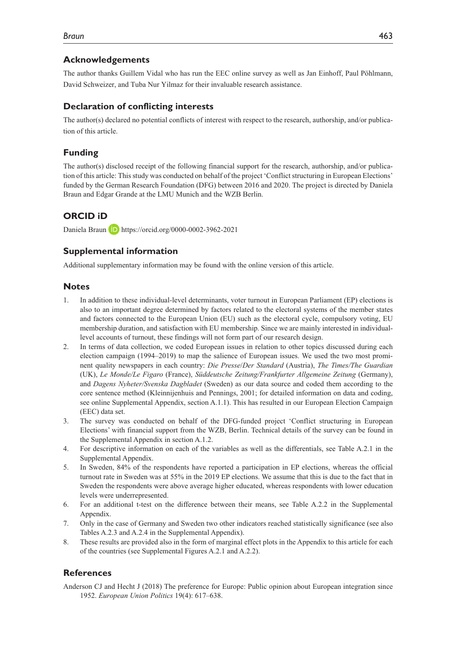## **Acknowledgements**

The author thanks Guillem Vidal who has run the EEC online survey as well as Jan Einhoff, Paul Pöhlmann, David Schweizer, and Tuba Nur Yilmaz for their invaluable research assistance.

## **Declaration of conflicting interests**

The author(s) declared no potential conflicts of interest with respect to the research, authorship, and/or publication of this article.

## **Funding**

The author(s) disclosed receipt of the following financial support for the research, authorship, and/or publication of this article: This study was conducted on behalf of the project 'Conflict structuring in European Elections' funded by the German Research Foundation (DFG) between 2016 and 2020. The project is directed by Daniela Braun and Edgar Grande at the LMU Munich and the WZB Berlin.

## **ORCID iD**

Daniela Braun **D** <https://orcid.org/0000-0002-3962-2021>

#### **Supplemental information**

Additional supplementary information may be found with the online version of this article.

#### **Notes**

- 1. In addition to these individual-level determinants, voter turnout in European Parliament (EP) elections is also to an important degree determined by factors related to the electoral systems of the member states and factors connected to the European Union (EU) such as the electoral cycle, compulsory voting, EU membership duration, and satisfaction with EU membership. Since we are mainly interested in individuallevel accounts of turnout, these findings will not form part of our research design.
- 2. In terms of data collection, we coded European issues in relation to other topics discussed during each election campaign (1994–2019) to map the salience of European issues. We used the two most prominent quality newspapers in each country: *Die Presse*/*Der Standard* (Austria), *The Times/The Guardian* (UK), *Le Monde/Le Figaro* (France), *Süddeutsche Zeitung/Frankfurter Allgemeine Zeitung* (Germany), and *Dagens Nyheter/Svenska Dagbladet* (Sweden) as our data source and coded them according to the core sentence method (Kleinnijenhuis and Pennings, 2001; for detailed information on data and coding, see online Supplemental Appendix, section A.1.1). This has resulted in our European Election Campaign (EEC) data set.
- 3. The survey was conducted on behalf of the DFG-funded project 'Conflict structuring in European Elections' with financial support from the WZB, Berlin. Technical details of the survey can be found in the Supplemental Appendix in section A.1.2.
- 4. For descriptive information on each of the variables as well as the differentials, see Table A.2.1 in the Supplemental Appendix.
- 5. In Sweden, 84% of the respondents have reported a participation in EP elections, whereas the official turnout rate in Sweden was at 55% in the 2019 EP elections. We assume that this is due to the fact that in Sweden the respondents were above average higher educated, whereas respondents with lower education levels were underrepresented.
- 6. For an additional t-test on the difference between their means, see Table A.2.2 in the Supplemental Appendix.
- 7. Only in the case of Germany and Sweden two other indicators reached statistically significance (see also Tables A.2.3 and A.2.4 in the Supplemental Appendix).
- 8. These results are provided also in the form of marginal effect plots in the Appendix to this article for each of the countries (see Supplemental Figures A.2.1 and A.2.2).

#### **References**

Anderson CJ and Hecht J (2018) The preference for Europe: Public opinion about European integration since 1952. *European Union Politics* 19(4): 617–638.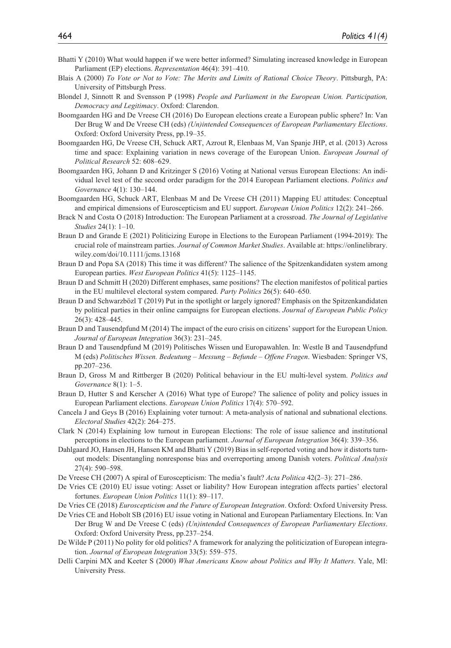- Bhatti Y (2010) What would happen if we were better informed? Simulating increased knowledge in European Parliament (EP) elections. *Representation* 46(4): 391–410.
- Blais A (2000) *To Vote or Not to Vote: The Merits and Limits of Rational Choice Theory*. Pittsburgh, PA: University of Pittsburgh Press.
- Blondel J, Sinnott R and Svensson P (1998) *People and Parliament in the European Union. Participation, Democracy and Legitimacy*. Oxford: Clarendon.
- Boomgaarden HG and De Vreese CH (2016) Do European elections create a European public sphere? In: Van Der Brug W and De Vreese CH (eds) *(Un)intended Consequences of European Parliamentary Elections*. Oxford: Oxford University Press, pp.19–35.
- Boomgaarden HG, De Vreese CH, Schuck ART, Azrout R, Elenbaas M, Van Spanje JHP, et al. (2013) Across time and space: Explaining variation in news coverage of the European Union. *European Journal of Political Research* 52: 608–629.
- Boomgaarden HG, Johann D and Kritzinger S (2016) Voting at National versus European Elections: An individual level test of the second order paradigm for the 2014 European Parliament elections. *Politics and Governance* 4(1): 130–144.
- Boomgaarden HG, Schuck ART, Elenbaas M and De Vreese CH (2011) Mapping EU attitudes: Conceptual and empirical dimensions of Euroscepticism and EU support. *European Union Politics* 12(2): 241–266.
- Brack N and Costa O (2018) Introduction: The European Parliament at a crossroad. *The Journal of Legislative Studies* 24(1): 1–10.
- Braun D and Grande E (2021) Politicizing Europe in Elections to the European Parliament (1994-2019): The crucial role of mainstream parties. *Journal of Common Market Studies*. Available at: [https://onlinelibrary.](https://onlinelibrary.wiley.com/doi/10.1111/jcms.13168) [wiley.com/doi/10.1111/jcms.13168](https://onlinelibrary.wiley.com/doi/10.1111/jcms.13168)
- Braun D and Popa SA (2018) This time it was different? The salience of the Spitzenkandidaten system among European parties. *West European Politics* 41(5): 1125–1145.
- Braun D and Schmitt H (2020) Different emphases, same positions? The election manifestos of political parties in the EU multilevel electoral system compared. *Party Politics* 26(5): 640–650.
- Braun D and Schwarzbözl T (2019) Put in the spotlight or largely ignored? Emphasis on the Spitzenkandidaten by political parties in their online campaigns for European elections. *Journal of European Public Policy* 26(3): 428–445.
- Braun D and Tausendpfund M (2014) The impact of the euro crisis on citizens' support for the European Union. *Journal of European Integration* 36(3): 231–245.
- Braun D and Tausendpfund M (2019) Politisches Wissen und Europawahlen. In: Westle B and Tausendpfund M (eds) *Politisches Wissen. Bedeutung – Messung – Befunde – Offene Fragen*. Wiesbaden: Springer VS, pp.207–236.
- Braun D, Gross M and Rittberger B (2020) Political behaviour in the EU multi-level system. *Politics and Governance* 8(1): 1–5.
- Braun D, Hutter S and Kerscher A (2016) What type of Europe? The salience of polity and policy issues in European Parliament elections. *European Union Politics* 17(4): 570–592.
- Cancela J and Geys B (2016) Explaining voter turnout: A meta-analysis of national and subnational elections. *Electoral Studies* 42(2): 264–275.
- Clark N (2014) Explaining low turnout in European Elections: The role of issue salience and institutional perceptions in elections to the European parliament. *Journal of European Integration* 36(4): 339–356.
- Dahlgaard JO, Hansen JH, Hansen KM and Bhatti Y (2019) Bias in self-reported voting and how it distorts turnout models: Disentangling nonresponse bias and overreporting among Danish voters. *Political Analysis* 27(4): 590–598.
- De Vreese CH (2007) A spiral of Euroscepticism: The media's fault? *Acta Politica* 42(2–3): 271–286.
- De Vries CE (2010) EU issue voting: Asset or liability? How European integration affects parties' electoral fortunes. *European Union Politics* 11(1): 89–117.
- De Vries CE (2018) *Euroscepticism and the Future of European Integration*. Oxford: Oxford University Press.
- De Vries CE and Hobolt SB (2016) EU issue voting in National and European Parliamentary Elections. In: Van Der Brug W and De Vreese C (eds) *(Un)intended Consequences of European Parliamentary Elections*. Oxford: Oxford University Press, pp.237–254.
- De Wilde P (2011) No polity for old politics? A framework for analyzing the politicization of European integration. *Journal of European Integration* 33(5): 559–575.
- Delli Carpini MX and Keeter S (2000) *What Americans Know about Politics and Why It Matters*. Yale, MI: University Press.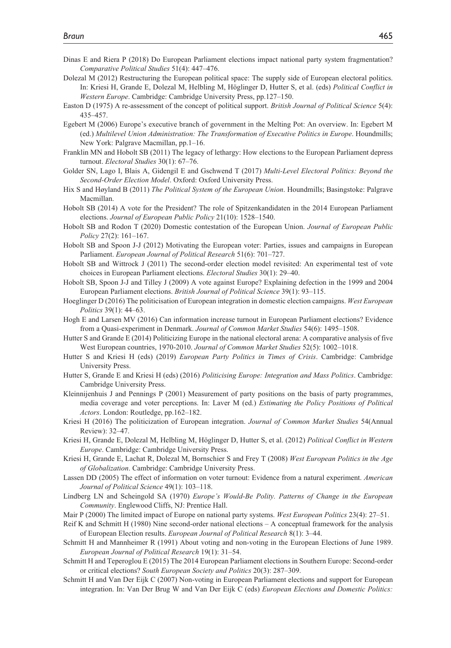- Dinas E and Riera P (2018) Do European Parliament elections impact national party system fragmentation? *Comparative Political Studies* 51(4): 447–476.
- Dolezal M (2012) Restructuring the European political space: The supply side of European electoral politics. In: Kriesi H, Grande E, Dolezal M, Helbling M, Höglinger D, Hutter S, et al. (eds) *Political Conflict in Western Europe*. Cambridge: Cambridge University Press, pp.127–150.
- Easton D (1975) A re-assessment of the concept of political support. *British Journal of Political Science* 5(4): 435–457.
- Egebert M (2006) Europe's executive branch of government in the Melting Pot: An overview. In: Egebert M (ed.) *Multilevel Union Administration: The Transformation of Executive Politics in Europe*. Houndmills; New York: Palgrave Macmillan, pp.1–16.
- Franklin MN and Hobolt SB (2011) The legacy of lethargy: How elections to the European Parliament depress turnout. *Electoral Studies* 30(1): 67–76.
- Golder SN, Lago I, Blais A, Gidengil E and Gschwend T (2017) *Multi-Level Electoral Politics: Beyond the Second-Order Election Model*. Oxford: Oxford University Press.
- Hix S and Høyland B (2011) *The Political System of the European Union*. Houndmills; Basingstoke: Palgrave Macmillan.
- Hobolt SB (2014) A vote for the President? The role of Spitzenkandidaten in the 2014 European Parliament elections. *Journal of European Public Policy* 21(10): 1528–1540.
- Hobolt SB and Rodon T (2020) Domestic contestation of the European Union. *Journal of European Public Policy* 27(2): 161–167.
- Hobolt SB and Spoon J-J (2012) Motivating the European voter: Parties, issues and campaigns in European Parliament. *European Journal of Political Research* 51(6): 701–727.
- Hobolt SB and Wittrock J (2011) The second-order election model revisited: An experimental test of vote choices in European Parliament elections. *Electoral Studies* 30(1): 29–40.
- Hobolt SB, Spoon J-J and Tilley J (2009) A vote against Europe? Explaining defection in the 1999 and 2004 European Parliament elections. *British Journal of Political Science* 39(1): 93–115.
- Hoeglinger D (2016) The politicisation of European integration in domestic election campaigns. *West European Politics* 39(1): 44–63.
- Hogh E and Larsen MV (2016) Can information increase turnout in European Parliament elections? Evidence from a Quasi-experiment in Denmark. *Journal of Common Market Studies* 54(6): 1495–1508.
- Hutter S and Grande E (2014) Politicizing Europe in the national electoral arena: A comparative analysis of five West European countries, 1970-2010. *Journal of Common Market Studies* 52(5): 1002–1018.
- Hutter S and Kriesi H (eds) (2019) *European Party Politics in Times of Crisis*. Cambridge: Cambridge University Press.
- Hutter S, Grande E and Kriesi H (eds) (2016) *Politicising Europe: Integration and Mass Politics*. Cambridge: Cambridge University Press.
- Kleinnijenhuis J and Pennings P (2001) Measurement of party positions on the basis of party programmes, media coverage and voter perceptions. In: Laver M (ed.) *Estimating the Policy Positions of Political Actors*. London: Routledge, pp.162–182.
- Kriesi H (2016) The politicization of European integration. *Journal of Common Market Studies* 54(Annual Review): 32–47.
- Kriesi H, Grande E, Dolezal M, Helbling M, Höglinger D, Hutter S, et al. (2012) *Political Conflict in Western Europe*. Cambridge: Cambridge University Press.
- Kriesi H, Grande E, Lachat R, Dolezal M, Bornschier S and Frey T (2008) *West European Politics in the Age of Globalization*. Cambridge: Cambridge University Press.
- Lassen DD (2005) The effect of information on voter turnout: Evidence from a natural experiment. *American Journal of Political Science* 49(1): 103–118.
- Lindberg LN and Scheingold SA (1970) *Europe's Would-Be Polity. Patterns of Change in the European Community*. Englewood Cliffs, NJ: Prentice Hall.
- Mair P (2000) The limited impact of Europe on national party systems. *West European Politics* 23(4): 27–51.
- Reif K and Schmitt H (1980) Nine second-order national elections A conceptual framework for the analysis of European Election results. *European Journal of Political Research* 8(1): 3–44.
- Schmitt H and Mannheimer R (1991) About voting and non-voting in the European Elections of June 1989. *European Journal of Political Research* 19(1): 31–54.
- Schmitt H and Teperoglou E (2015) The 2014 European Parliament elections in Southern Europe: Second-order or critical elections? *South European Society and Politics* 20(3): 287–309.
- Schmitt H and Van Der Eijk C (2007) Non-voting in European Parliament elections and support for European integration. In: Van Der Brug W and Van Der Eijk C (eds) *European Elections and Domestic Politics:*